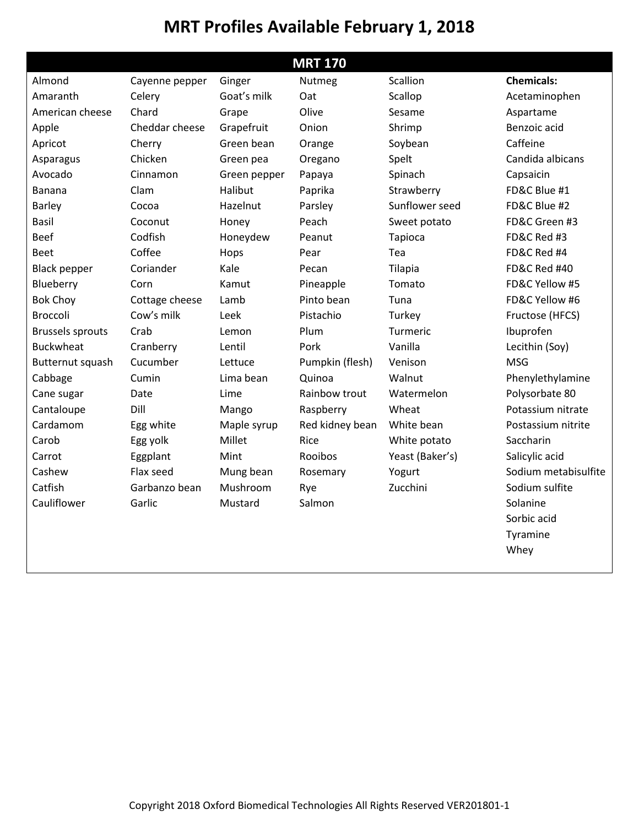## **MRT Profiles Available February 1, 2018**

| <b>MRT 170</b>          |                |              |                 |                 |                         |  |  |  |  |  |
|-------------------------|----------------|--------------|-----------------|-----------------|-------------------------|--|--|--|--|--|
| Almond                  | Cayenne pepper | Ginger       | Nutmeg          | Scallion        | <b>Chemicals:</b>       |  |  |  |  |  |
| Amaranth                | Celery         | Goat's milk  | Oat             | Scallop         | Acetaminophen           |  |  |  |  |  |
| American cheese         | Chard          | Grape        | Olive           | Sesame          | Aspartame               |  |  |  |  |  |
| Apple                   | Cheddar cheese | Grapefruit   | Onion           | Shrimp          | Benzoic acid            |  |  |  |  |  |
| Apricot                 | Cherry         | Green bean   | Orange          | Soybean         | Caffeine                |  |  |  |  |  |
| Asparagus               | Chicken        | Green pea    | Oregano         | Spelt           | Candida albicans        |  |  |  |  |  |
| Avocado                 | Cinnamon       | Green pepper | Papaya          | Spinach         | Capsaicin               |  |  |  |  |  |
| Banana                  | Clam           | Halibut      | Paprika         | Strawberry      | FD&C Blue #1            |  |  |  |  |  |
| Barley                  | Cocoa          | Hazelnut     | Parsley         | Sunflower seed  | FD&C Blue #2            |  |  |  |  |  |
| <b>Basil</b>            | Coconut        | Honey        | Peach           | Sweet potato    | FD&C Green #3           |  |  |  |  |  |
| <b>Beef</b>             | Codfish        | Honeydew     | Peanut          | Tapioca         | FD&C Red #3             |  |  |  |  |  |
| <b>Beet</b>             | Coffee         | Hops         | Pear            | Tea             | FD&C Red #4             |  |  |  |  |  |
| <b>Black pepper</b>     | Coriander      | Kale         | Pecan           | Tilapia         | <b>FD&amp;C Red #40</b> |  |  |  |  |  |
| Blueberry               | Corn           | Kamut        | Pineapple       | Tomato          | FD&C Yellow #5          |  |  |  |  |  |
| <b>Bok Choy</b>         | Cottage cheese | Lamb         | Pinto bean      | Tuna            | FD&C Yellow #6          |  |  |  |  |  |
| <b>Broccoli</b>         | Cow's milk     | Leek         | Pistachio       | Turkey          | Fructose (HFCS)         |  |  |  |  |  |
| <b>Brussels sprouts</b> | Crab           | Lemon        | Plum            | Turmeric        | Ibuprofen               |  |  |  |  |  |
| <b>Buckwheat</b>        | Cranberry      | Lentil       | Pork            | Vanilla         | Lecithin (Soy)          |  |  |  |  |  |
| Butternut squash        | Cucumber       | Lettuce      | Pumpkin (flesh) | Venison         | <b>MSG</b>              |  |  |  |  |  |
| Cabbage                 | Cumin          | Lima bean    | Quinoa          | Walnut          | Phenylethylamine        |  |  |  |  |  |
| Cane sugar              | Date           | Lime         | Rainbow trout   | Watermelon      | Polysorbate 80          |  |  |  |  |  |
| Cantaloupe              | Dill           | Mango        | Raspberry       | Wheat           | Potassium nitrate       |  |  |  |  |  |
| Cardamom                | Egg white      | Maple syrup  | Red kidney bean | White bean      | Postassium nitrite      |  |  |  |  |  |
| Carob                   | Egg yolk       | Millet       | Rice            | White potato    | Saccharin               |  |  |  |  |  |
| Carrot                  | Eggplant       | Mint         | Rooibos         | Yeast (Baker's) | Salicylic acid          |  |  |  |  |  |
| Cashew                  | Flax seed      | Mung bean    | Rosemary        | Yogurt          | Sodium metabisulfite    |  |  |  |  |  |
| Catfish                 | Garbanzo bean  | Mushroom     | Rye             | Zucchini        | Sodium sulfite          |  |  |  |  |  |
| Cauliflower             | Garlic         | Mustard      | Salmon          |                 | Solanine                |  |  |  |  |  |
|                         |                |              |                 |                 | Sorbic acid             |  |  |  |  |  |
|                         |                |              |                 |                 | Tyramine                |  |  |  |  |  |
|                         |                |              |                 |                 | Whey                    |  |  |  |  |  |